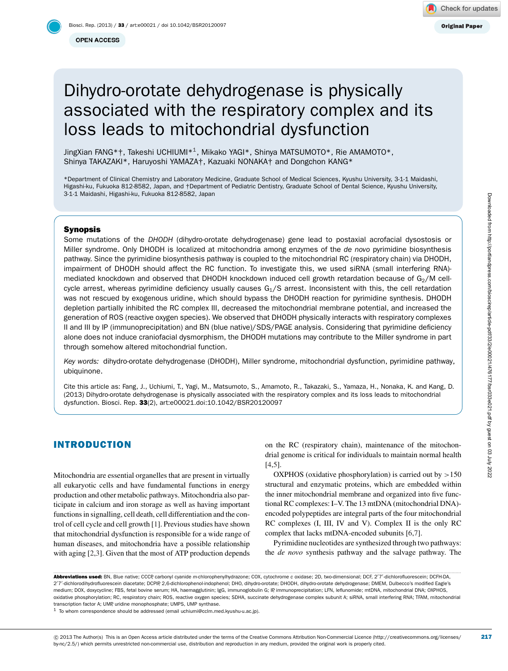**OPEN ACCESS** 



**Original Paper** 

# Dihydro-orotate dehydrogenase is physically associated with the respiratory complex and its loss leads to mitochondrial dysfunction

JingXian FANG\*†, Takeshi UCHIUMI[\\*1,](#page-0-0) Mikako YAGI\*, Shinya MATSUMOTO\*, Rie AMAMOTO\*, Shinya TAKAZAKI\*, Haruyoshi YAMAZA†, Kazuaki NONAKA† and Dongchon KANG\*

\*Department of Clinical Chemistry and Laboratory Medicine, Graduate School of Medical Sciences, Kyushu University, 3-1-1 Maidashi, Higashi-ku, Fukuoka 812-8582, Japan, and †Department of Pediatric Dentistry, Graduate School of Dental Science, Kyushu University, 3-1-1 Maidashi, Higashi-ku, Fukuoka 812-8582, Japan

## Synopsis

Some mutations of the *DHODH* (dihydro-orotate dehydrogenase) gene lead to postaxial acrofacial dysostosis or Miller syndrome. Only DHODH is localized at mitochondria among enzymes of the *de novo* pyrimidine biosynthesis pathway. Since the pyrimidine biosynthesis pathway is coupled to the mitochondrial RC (respiratory chain) via DHODH, impairment of DHODH should affect the RC function. To investigate this, we used siRNA (small interfering RNA) mediated knockdown and observed that DHODH knockdown induced cell growth retardation because of G<sub>2</sub>/M cellcycle arrest, whereas pyrimidine deficiency usually causes  $G_1/S$  arrest. Inconsistent with this, the cell retardation was not rescued by exogenous uridine, which should bypass the DHODH reaction for pyrimidine synthesis. DHODH depletion partially inhibited the RC complex III, decreased the mitochondrial membrane potential, and increased the generation of ROS (reactive oxygen species). We observed that DHODH physically interacts with respiratory complexes II and III by IP (immunoprecipitation) and BN (blue native)/SDS/PAGE analysis. Considering that pyrimidine deficiency alone does not induce craniofacial dysmorphism, the DHODH mutations may contribute to the Miller syndrome in part through somehow altered mitochondrial function.

*Key words:* dihydro-orotate dehydrogenase (DHODH), Miller syndrome, mitochondrial dysfunction, pyrimidine pathway, ubiquinone.

Cite this article as: Fang, J., Uchiumi, T., Yagi, M., Matsumoto, S., Amamoto, R., Takazaki, S., Yamaza, H., Nonaka, K. and Kang, D. (2013) Dihydro-orotate dehydrogenase is physically associated with the respiratory complex and its loss leads to mitochondrial dysfunction. Biosci. Rep. 33(2), art:e00021.doi:10.1042/BSR20120097

# INTRODUCTION

Mitochondria are essential organelles that are present in virtually all eukaryotic cells and have fundamental functions in energy production and other metabolic pathways. Mitochondria also participate in calcium and iron storage as well as having important functions in signalling, cell death, cell differentiation and the control of cell cycle and cell growth [\[1\]](#page-9-0). Previous studies have shown that mitochondrial dysfunction is responsible for a wide range of human diseases, and mitochondria have a possible relationship with aging [\[2](#page-9-1)[,3\]](#page-9-2). Given that the most of ATP production depends

on the RC (respiratory chain), maintenance of the mitochondrial genome is critical for individuals to maintain normal health [\[4,](#page-9-3)[5\]](#page-9-4).

OXPHOS (oxidative phosphorylation) is carried out by  $>150$ structural and enzymatic proteins, which are embedded within the inner mitochondrial membrane and organized into five functional RC complexes: I–V. The 13 mtDNA (mitochondrial DNA) encoded polypeptides are integral parts of the four mitochondrial RC complexes (I, III, IV and V). Complex II is the only RC complex that lacks mtDNA-encoded subunits [\[6,](#page-9-5)[7\]](#page-9-6).

Pyrimidine nucleotides are synthesized through two pathways: the *de novo* synthesis pathway and the salvage pathway. The

............................................................................................................................................................................................................................................................................................................ Abbreviations used: BN, Blue native; CCCP, carbonyl cyanide *m*-chlorophenylhydrazone; COX, cytochrome *c* oxidase; 2D, two-dimensional; DCF, 2- 7- -dichlorofluorescein; DCFH-DA, 2'7'-dichlorodihydrofluorescein diacetate; DCPIP, 2,6-dichlorophenol-indophenol; DHO, dihydro-orotate; DHODH, dihydro-orotate dehydrogenase; DMEM, Dulbecco's modified Eagle's medium; DOX, doxycycline; FBS, fetal bovine serum; HA, haemagglutinin; IgG, immunoglobulin G; IP, immunoprecipitation; LFN, leflunomide; mtDNA, mitochondrial DNA; OXPHOS, oxidative phosphorylation; RC, respiratory chain; ROS, reactive oxygen species; SDHA, succinate dehydrogenase complex subunit A; siRNA, small interfering RNA; TFAM, mitochondrial transcription factor A; UMP, uridine monophosphate; UMPS, UMP synthase.

<span id="page-0-0"></span> $1$  To whom correspondence should be addressed (email uchiumi@cclm.med.kyushu-u.ac.jp).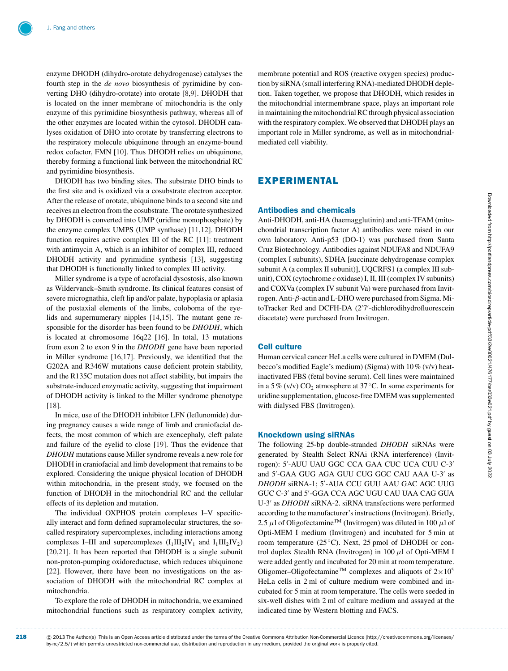enzyme DHODH (dihydro-orotate dehydrogenase) catalyses the fourth step in the *de novo* biosynthesis of pyrimidine by converting DHO (dihydro-orotate) into orotate [\[8,](#page-9-7)[9\]](#page-9-8). DHODH that is located on the inner membrane of mitochondria is the only enzyme of this pyrimidine biosynthesis pathway, whereas all of the other enzymes are located within the cytosol. DHODH catalyses oxidation of DHO into orotate by transferring electrons to the respiratory molecule ubiquinone through an enzyme-bound redox cofactor, FMN [\[10\]](#page-9-9). Thus DHODH relies on ubiquinone, thereby forming a functional link between the mitochondrial RC and pyrimidine biosynthesis.

DHODH has two binding sites. The substrate DHO binds to the first site and is oxidized via a cosubstrate electron acceptor. After the release of orotate, ubiquinone binds to a second site and receives an electron from the cosubstrate. The orotate synthesized by DHODH is converted into UMP (uridine monophosphate) by the enzyme complex UMPS (UMP synthase) [\[11](#page-9-10)[,12\]](#page-9-11). DHODH function requires active complex III of the RC [\[11\]](#page-9-10): treatment with antimycin A, which is an inhibitor of complex III, reduced DHODH activity and pyrimidine synthesis [\[13\]](#page-9-12), suggesting that DHODH is functionally linked to complex III activity.

Miller syndrome is a type of acrofacial dysostosis, also known as Wildervanck–Smith syndrome. Its clinical features consist of severe micrognathia, cleft lip and/or palate, hypoplasia or aplasia of the postaxial elements of the limbs, coloboma of the eyelids and supernumerary nipples [\[14,](#page-9-13)[15\]](#page-9-14). The mutant gene responsible for the disorder has been found to be *DHODH*, which is located at chromosome 16q22 [\[16\]](#page-9-15). In total, 13 mutations from exon 2 to exon 9 in the *DHODH* gene have been reported in Miller syndrome [\[16](#page-9-15)[,17\]](#page-9-16). Previously, we identified that the G202A and R346W mutations cause deficient protein stability, and the R135C mutation does not affect stability, but impairs the substrate-induced enzymatic activity, suggesting that impairment of DHODH activity is linked to the Miller syndrome phenotype [\[18\]](#page-9-17).

In mice, use of the DHODH inhibitor LFN (leflunomide) during pregnancy causes a wide range of limb and craniofacial defects, the most common of which are exencephaly, cleft palate and failure of the eyelid to close [\[19\]](#page-9-18). Thus the evidence that *DHODH* mutations cause Miller syndrome reveals a new role for DHODH in craniofacial and limb development that remains to be explored. Considering the unique physical location of DHODH within mitochondria, in the present study, we focused on the function of DHODH in the mitochondrial RC and the cellular effects of its depletion and mutation.

The individual OXPHOS protein complexes I–V specifically interact and form defined supramolecular structures, the socalled respiratory supercomplexes, including interactions among complexes I–III and supercomplexes  $(I_1III_2IV_1$  and  $I_1III_2IV_2)$ [\[20](#page-9-19)[,21\]](#page-9-20). It has been reported that DHODH is a single subunit non-proton-pumping oxidoreductase, which reduces ubiquinone [\[22\]](#page-9-21). However, there have been no investigations on the association of DHODH with the mitochondrial RC complex at mitochondria.

To explore the role of DHODH in mitochondria, we examined mitochondrial functions such as respiratory complex activity, membrane potential and ROS (reactive oxygen species) production by siRNA (small interfering RNA)-mediated DHODH depletion. Taken together, we propose that DHODH, which resides in the mitochondrial intermembrane space, plays an important role in maintaining the mitochondrial RC through physical association with the respiratory complex. We observed that DHODH plays an important role in Miller syndrome, as well as in mitochondrialmediated cell viability.

# EXPERIMENTAL

## Antibodies and chemicals

Anti-DHODH, anti-HA (haemagglutinin) and anti-TFAM (mitochondrial transcription factor A) antibodies were raised in our own laboratory. Anti-p53 (DO-1) was purchased from Santa Cruz Biotechnology. Antibodies against NDUFA8 and NDUFA9 (complex I subunits), SDHA [succinate dehydrogenase complex subunit A (a complex II subunit)], UQCRFS1 (a complex III subunit), COX (cytochrome *c* oxidase) I, II, III (complex IV subunits) and COXVa (complex IV subunit Va) were purchased from Invitrogen. Anti-β-actin and L-DHO were purchased from Sigma. MitoTracker Red and DCFH-DA (2'7'-dichlorodihydrofluorescein diacetate) were purchased from Invitrogen.

# Cell culture

Human cervical cancer HeLa cells were cultured in DMEM (Dulbecco's modified Eagle's medium) (Sigma) with  $10\%$  (v/v) heatinactivated FBS (fetal bovine serum). Cell lines were maintained in a 5% (v/v)  $CO<sub>2</sub>$  atmosphere at 37 °C. In some experiments for uridine supplementation, glucose-free DMEM was supplemented with dialysed FBS (Invitrogen).

#### Knockdown using siRNAs

The following 25-bp double-stranded *DHODH* siRNAs were generated by Stealth Select RNAi (RNA interference) (Invitrogen): 5- -AUU UAU GGC CCA GAA CUC UCA CUU C-3 and 5'-GAA GUG AGA GUU CUG GGC CAU AAA U-3' as DHODH siRNA-1; 5'-AUA CCU GUU AAU GAC AGC UUG GUC C-3- and 5- -GGA CCA AGC UGU CAU UAA CAG GUA U-3' as *DHODH* siRNA-2. siRNA transfections were performed according to the manufacturer's instructions (Invitrogen). Briefly, 2.5  $\mu$ l of Oligofectamine<sup>TM</sup> (Invitrogen) was diluted in 100  $\mu$ l of Opti-MEM I medium (Invitrogen) and incubated for 5 min at room temperature (25◦C). Next, 25 pmol of DHODH or control duplex Stealth RNA (Invitrogen) in 100  $\mu$ l of Opti-MEM I were added gently and incubated for 20 min at room temperature. Oligomer–Oligofectamine<sup>TM</sup> complexes and aliquots of  $2 \times 10^5$ HeLa cells in 2 ml of culture medium were combined and incubated for 5 min at room temperature. The cells were seeded in six-well dishes with 2 ml of culture medium and assayed at the indicated time by Western blotting and FACS.

218

 $\odot$  2013 The Author(s) This is an Open Access article distributed under the terms of the Creative Commons Attribution Non-Commercial Licence [\(http://creativecommons.org/licenses/](http://creativecommons.org/licenses/by-nc/2.5/) [by-nc/2.5/\)](http://creativecommons.org/licenses/by-nc/2.5/) which permits unrestricted non-commercial use, distribution and reproduction in any medium, provided the original work is properly cited.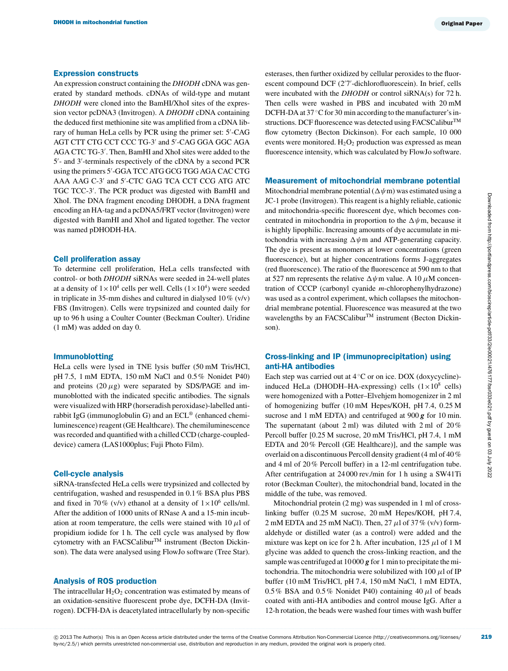#### Expression constructs

An expression construct containing the *DHODH* cDNA was generated by standard methods. cDNAs of wild-type and mutant *DHODH* were cloned into the BamHI/XhoI sites of the expression vector pcDNA3 (Invitrogen). A *DHODH* cDNA containing the deduced first methionine site was amplified from a cDNA library of human HeLa cells by PCR using the primer set: 5'-CAG AGT CTT CTG CCT CCC TG-3' and 5'-CAG GGA GGC AGA AGA CTC TG-3'. Then, BamHI and XhoI sites were added to the 5'- and 3'-terminals respectively of the cDNA by a second PCR using the primers 5'-GGA TCC ATG GCG TGG AGA CAC CTG AAA AAG C-3' and 5'-CTC GAG TCA CCT CCG ATG ATC TGC TCC-3'. The PCR product was digested with BamHI and XhoI. The DNA fragment encoding DHODH, a DNA fragment encoding an HA-tag and a pcDNA5/FRT vector (Invitrogen) were digested with BamHI and XhoI and ligated together. The vector was named pDHODH-HA.

## Cell proliferation assay

To determine cell proliferation, HeLa cells transfected with control- or both *DHODH* siRNAs were seeded in 24-well plates at a density of  $1 \times 10^4$  cells per well. Cells  $(1 \times 10^4)$  were seeded in triplicate in 35-mm dishes and cultured in dialysed  $10\%$  (v/v) FBS (Invitrogen). Cells were trypsinized and counted daily for up to 96 h using a Coulter Counter (Beckman Coulter). Uridine (1 mM) was added on day 0.

#### Immunoblotting

HeLa cells were lysed in TNE lysis buffer (50 mM Tris/HCl, pH 7.5, 1 mM EDTA, 150 mM NaCl and 0.5% Nonidet P40) and proteins  $(20 \mu g)$  were separated by SDS/PAGE and immunoblotted with the indicated specific antibodies. The signals were visualized with HRP (horseradish peroxidase)-labelled antirabbit IgG (immunoglobulin G) and an ECL® (enhanced chemiluminescence) reagent (GE Healthcare). The chemiluminescence was recorded and quantified with a chilled CCD (charge-coupleddevice) camera (LAS1000plus; Fuji Photo Film).

#### Cell-cycle analysis

siRNA-transfected HeLa cells were trypsinized and collected by centrifugation, washed and resuspended in 0.1% BSA plus PBS and fixed in 70% (v/v) ethanol at a density of  $1 \times 10^6$  cells/ml. After the addition of 1000 units of RNase A and a 15-min incubation at room temperature, the cells were stained with 10  $\mu$ l of propidium iodide for 1 h. The cell cycle was analysed by flow cytometry with an FACSCalibur<sup>TM</sup> instrument (Becton Dickinson). The data were analysed using FlowJo software (Tree Star).

## Analysis of ROS production

The intracellular  $H_2O_2$  concentration was estimated by means of an oxidation-sensitive fluorescent probe dye, DCFH-DA (Invitrogen). DCFH-DA is deacetylated intracellularly by non-specific

esterases, then further oxidized by cellular peroxides to the fluorescent compound DCF (2'7'-dichlorofluorescein). In brief, cells were incubated with the *DHODH* or control siRNA(s) for 72 h. Then cells were washed in PBS and incubated with 20 mM DCFH-DA at 37 °C for 30 min according to the manufacturer's instructions. DCF fluorescence was detected using FACSCalibur<sup>TM</sup> flow cytometry (Becton Dickinson). For each sample, 10 000 events were monitored.  $H_2O_2$  production was expressed as mean fluorescence intensity, which was calculated by FlowJo software.

# Measurement of mitochondrial membrane potential

Mitochondrial membrane potential  $(\Delta \psi m)$  was estimated using a JC-1 probe (Invitrogen). This reagent is a highly reliable, cationic and mitochondria-specific fluorescent dye, which becomes concentrated in mitochondria in proportion to the  $\Delta \psi$ m, because it is highly lipophilic. Increasing amounts of dye accumulate in mitochondria with increasing  $\Delta \psi$ m and ATP-generating capacity. The dye is present as monomers at lower concentrations (green fluorescence), but at higher concentrations forms J-aggregates (red fluorescence). The ratio of the fluorescence at 590 nm to that at 527 nm represents the relative  $\Delta \psi$ m value. A 10  $\mu$ M concentration of CCCP (carbonyl cyanide *m*-chlorophenylhydrazone) was used as a control experiment, which collapses the mitochondrial membrane potential. Fluorescence was measured at the two wavelengths by an FACSCalibur<sup>TM</sup> instrument (Becton Dickinson).

# Cross-linking and IP (immunoprecipitation) using anti-HA antibodies

Each step was carried out at  $4^\circ$ C or on ice. DOX (doxycycline)induced HeLa (DHODH–HA-expressing) cells  $(1 \times 10^8 \text{ cells})$ were homogenized with a Potter–Elvehjem homogenizer in 2 ml of homogenizing buffer (10 mM Hepes/KOH, pH 7.4, 0.25 M sucrose and 1 mM EDTA) and centrifuged at 900 **g** for 10 min. The supernatant (about 2 ml) was diluted with 2 ml of  $20\%$ Percoll buffer [0.25 M sucrose, 20 mM Tris/HCl, pH 7.4, 1 mM EDTA and 20% Percoll (GE Healthcare)], and the sample was overlaid on a discontinuous Percoll density gradient (4 ml of 40% and 4 ml of 20% Percoll buffer) in a 12-ml centrifugation tube. After centrifugation at 24 000 rev./min for 1 h using a SW41Ti rotor (Beckman Coulter), the mitochondrial band, located in the middle of the tube, was removed.

Mitochondrial protein (2 mg) was suspended in 1 ml of crosslinking buffer (0.25 M sucrose, 20 mM Hepes/KOH, pH 7.4, 2 mM EDTA and 25 mM NaCl). Then, 27  $\mu$ l of 37% (v/v) formaldehyde or distilled water (as a control) were added and the mixture was kept on ice for 2 h. After incubation,  $125 \mu l$  of 1 M glycine was added to quench the cross-linking reaction, and the sample was centrifuged at 10 000 *g* for 1 min to precipitate the mitochondria. The mitochondria were solubilized with 100  $\mu$ l of IP buffer (10 mM Tris/HCl, pH 7.4, 150 mM NaCl, 1 mM EDTA, 0.5% BSA and 0.5% Nonidet P40) containing 40  $\mu$ l of beads coated with anti-HA antibodies and control mouse IgG. After a 12-h rotation, the beads were washed four times with wash buffer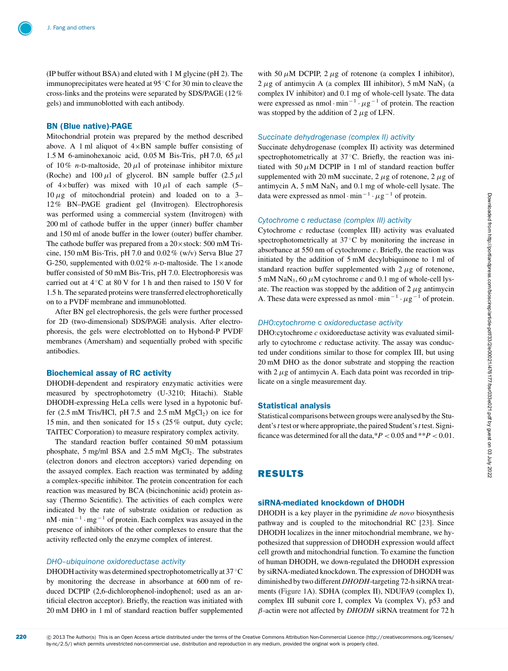(IP buffer without BSA) and eluted with 1 M glycine (pH 2). The immunoprecipitates were heated at 95◦C for 30 min to cleave the cross-links and the proteins were separated by SDS/PAGE (12% gels) and immunoblotted with each antibody.

#### BN (Blue native)-PAGE

Mitochondrial protein was prepared by the method described above. A 1 ml aliquot of  $4 \times BN$  sample buffer consisting of 1.5 M 6-aminohexanoic acid, 0.05 M Bis-Tris, pH 7.0, 65  $\mu$ l of 10% *n*-D-maltoside, 20  $\mu$ l of proteinase inhibitor mixture (Roche) and  $100 \mu l$  of glycerol. BN sample buffer  $(2.5 \mu l)$ of  $4 \times$ buffer) was mixed with  $10 \mu l$  of each sample (5–  $10 \mu$ g of mitochondrial protein) and loaded on to a 3– 12% BN–PAGE gradient gel (Invitrogen). Electrophoresis was performed using a commercial system (Invitrogen) with 200 ml of cathode buffer in the upper (inner) buffer chamber and 150 ml of anode buffer in the lower (outer) buffer chamber. The cathode buffer was prepared from a  $20 \times$  stock: 500 mM Tricine, 150 mM Bis-Tris, pH 7.0 and 0.02% (w/v) Serva Blue 27 G-250, supplemented with 0.02% *n*-D-maltoside. The 1×anode buffer consisted of 50 mM Bis-Tris, pH 7.0. Electrophoresis was carried out at  $4^\circ$ C at 80 V for 1 h and then raised to 150 V for 1.5 h. The separated proteins were transferred electrophoretically on to a PVDF membrane and immunoblotted.

After BN gel electrophoresis, the gels were further processed for 2D (two-dimensional) SDS/PAGE analysis. After electrophoresis, the gels were electroblotted on to Hybond-P PVDF membranes (Amersham) and sequentially probed with specific antibodies.

#### Biochemical assay of RC activity

DHODH-dependent and respiratory enzymatic activities were measured by spectrophotometry (U-3210; Hitachi). Stable DHODH-expressing HeLa cells were lysed in a hypotonic buffer (2.5 mM Tris/HCl, pH 7.5 and 2.5 mM  $MgCl<sub>2</sub>$ ) on ice for 15 min, and then sonicated for 15 s (25% output, duty cycle; TAITEC Corporation) to measure respiratory complex activity.

The standard reaction buffer contained 50 mM potassium phosphate,  $5 \text{ mg/ml BSA}$  and  $2.5 \text{ mM MgCl}_2$ . The substrates (electron donors and electron acceptors) varied depending on the assayed complex. Each reaction was terminated by adding a complex-specific inhibitor. The protein concentration for each reaction was measured by BCA (bicinchoninic acid) protein assay (Thermo Scientific). The activities of each complex were indicated by the rate of substrate oxidation or reduction as  $nM \cdot min^{-1} \cdot mg^{-1}$  of protein. Each complex was assayed in the presence of inhibitors of the other complexes to ensure that the activity reflected only the enzyme complex of interest.

## *DHO–ubiquinone oxidoreductase activity*

DHODH activity was determined spectrophotometrically at 37◦C by monitoring the decrease in absorbance at 600 nm of reduced DCPIP (2,6-dichlorophenol-indophenol; used as an artificial electron acceptor). Briefly, the reaction was initiated with 20 mM DHO in 1 ml of standard reaction buffer supplemented with 50  $\mu$ M DCPIP, 2  $\mu$ g of rotenone (a complex I inhibitor),  $2 \mu$ g of antimycin A (a complex III inhibitor), 5 mM NaN<sub>3</sub> (a complex IV inhibitor) and 0.1 mg of whole-cell lysate. The data were expressed as nmol · min<sup>-1</sup> ·  $\mu$ g<sup>-1</sup> of protein. The reaction was stopped by the addition of 2  $\mu$ g of LFN.

#### *Succinate dehydrogenase (complex II) activity*

Succinate dehydrogenase (complex II) activity was determined spectrophotometrically at 37 °C. Briefly, the reaction was initiated with 50  $\mu$ M DCPIP in 1 ml of standard reaction buffer supplemented with 20 mM succinate,  $2 \mu$ g of rotenone,  $2 \mu$ g of antimycin A, 5 mM NaN<sub>3</sub> and 0.1 mg of whole-cell lysate. The data were expressed as nmol · min<sup>-1</sup> ·  $\mu$ g<sup>-1</sup> of protein.

#### *Cytochrome* c *reductase (complex III) activity*

Cytochrome *c* reductase (complex III) activity was evaluated spectrophotometrically at 37 °C by monitoring the increase in absorbance at 550 nm of cytochrome *c*. Briefly, the reaction was initiated by the addition of 5 mM decylubiquinone to 1 ml of standard reaction buffer supplemented with  $2 \mu$ g of rotenone, 5 mM NaN<sub>3</sub>, 60  $\mu$ M cytochrome *c* and 0.1 mg of whole-cell lysate. The reaction was stopped by the addition of 2  $\mu$ g antimycin A. These data were expressed as nmol · min<sup>-1</sup> ·  $\mu$ g<sup>-1</sup> of protein.

## *DHO:cytochrome* c *oxidoreductase activity*

DHO:cytochrome *c* oxidoreductase activity was evaluated similarly to cytochrome *c* reductase activity. The assay was conducted under conditions similar to those for complex III, but using 20 mM DHO as the donor substrate and stopping the reaction with  $2 \mu$ g of antimycin A. Each data point was recorded in triplicate on a single measurement day.

#### Statistical analysis

Statistical comparisons between groups were analysed by the Student's*t* test or where appropriate, the paired Student's*t* test. Significance was determined for all the data,\**P* < 0.05 and \*\**P* < 0.01.

# RESULTS

## siRNA-mediated knockdown of DHODH

DHODH is a key player in the pyrimidine *de novo* biosynthesis pathway and is coupled to the mitochondrial RC [\[23\]](#page-10-0). Since DHODH localizes in the inner mitochondrial membrane, we hypothesized that suppression of DHODH expression would affect cell growth and mitochondrial function. To examine the function of human DHODH, we down-regulated the DHODH expression by siRNA-mediated knockdown. The expression of DHODH was diminished by two different *DHODH*-targeting 72-h siRNA treatments [\(Figure 1A](#page-4-0)). SDHA (complex II), NDUFA9 (complex I), complex III subunit core I, complex Va (complex V), p53 and β-actin were not affected by *DHODH* siRNA treatment for 72 h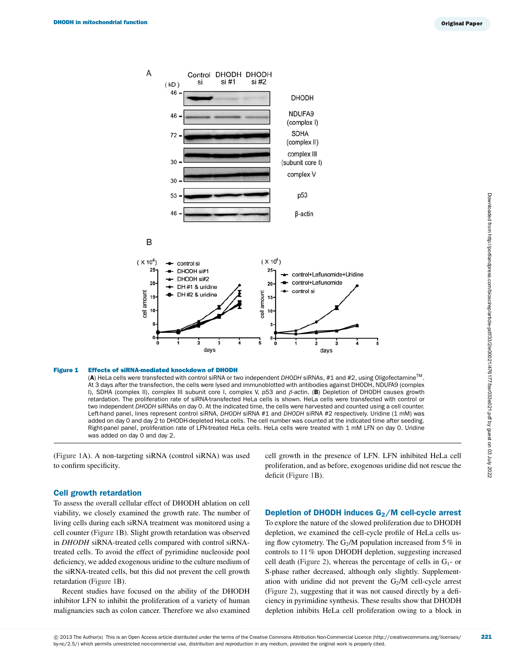<span id="page-4-0"></span>

#### Figure 1 Effects of siRNA-mediated knockdown of DHODH

(A) HeLa cells were transfected with control siRNA or two independent *DHODH* siRNAs, #1 and #2, using OligofectamineTM. At 3 days after the transfection, the cells were lysed and immunoblotted with antibodies against DHODH, NDUFA9 (complex I), SDHA (complex II), complex III subunit core I, complex V, p53 and β-actin. (B) Depletion of DHODH causes growth retardation. The proliferation rate of siRNA-transfected HeLa cells is shown. HeLa cells were transfected with control or two independent *DHODH* siRNAs on day 0. At the indicated time, the cells were harvested and counted using a cell counter. Left-hand panel, lines represent control siRNA, *DHODH* siRNA #1 and *DHODH* siRNA #2 respectively. Uridine (1 mM) was added on day 0 and day 2 to DHODH-depleted HeLa cells. The cell number was counted at the indicated time after seeding. Right-panel panel, proliferation rate of LFN-treated HeLa cells. HeLa cells were treated with 1 mM LFN on day 0. Uridine was added on day 0 and day 2.

[\(Figure 1A](#page-4-0)). A non-targeting siRNA (control siRNA) was used to confirm specificity.

cell growth in the presence of LFN. LFN inhibited HeLa cell proliferation, and as before, exogenous uridine did not rescue the deficit [\(Figure 1B](#page-4-0)).

#### Cell growth retardation

To assess the overall cellular effect of DHODH ablation on cell viability, we closely examined the growth rate. The number of living cells during each siRNA treatment was monitored using a cell counter [\(Figure 1B](#page-4-0)). Slight growth retardation was observed in *DHODH* siRNA-treated cells compared with control siRNAtreated cells. To avoid the effect of pyrimidine nucleoside pool deficiency, we added exogenous uridine to the culture medium of the siRNA-treated cells, but this did not prevent the cell growth retardation [\(Figure 1B](#page-4-0)).

Recent studies have focused on the ability of the DHODH inhibitor LFN to inhibit the proliferation of a variety of human malignancies such as colon cancer. Therefore we also examined

# Depletion of DHODH induces  $G_2/M$  cell-cycle arrest

To explore the nature of the slowed proliferation due to DHODH depletion, we examined the cell-cycle profile of HeLa cells using flow cytometry. The  $G_2/M$  population increased from 5% in controls to 11% upon DHODH depletion, suggesting increased cell death [\(Figure 2\)](#page-5-0), whereas the percentage of cells in  $G_1$ - or S-phase rather decreased, although only slightly. Supplementation with uridine did not prevent the  $G_2/M$  cell-cycle arrest [\(Figure 2\)](#page-5-0), suggesting that it was not caused directly by a deficiency in pyrimidine synthesis. These results show that DHODH depletion inhibits HeLa cell proliferation owing to a block in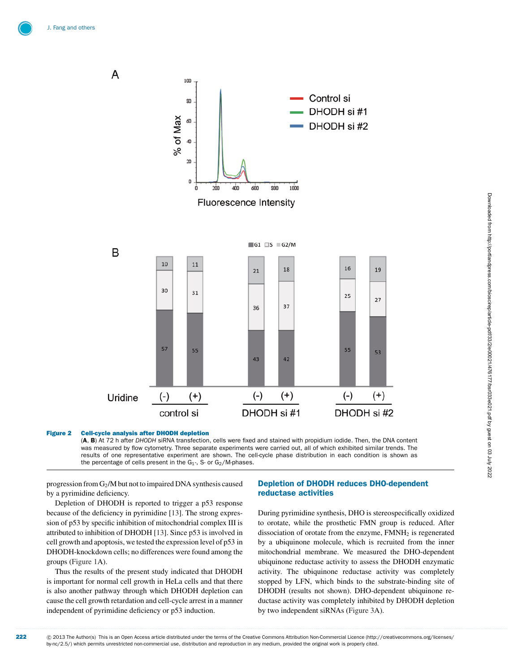<span id="page-5-0"></span>

#### Figure 2 Cell-cycle analysis after DHODH depletion

(A, B) At 72 h after *DHODH* siRNA transfection, cells were fixed and stained with propidium iodide. Then, the DNA content was measured by flow cytometry. Three separate experiments were carried out, all of which exhibited similar trends. The results of one representative experiment are shown. The cell-cycle phase distribution in each condition is shown as the percentage of cells present in the  $G_1$ -, S- or  $G_2/M$ -phases.

DHODH si #1

progression from  $G_2/M$  but not to impaired DNA synthesis caused by a pyrimidine deficiency.

control si

Depletion of DHODH is reported to trigger a p53 response because of the deficiency in pyrimidine [\[13\]](#page-9-12). The strong expression of p53 by specific inhibition of mitochondrial complex III is attributed to inhibition of DHODH [\[13\]](#page-9-12). Since p53 is involved in cell growth and apoptosis, we tested the expression level of p53 in DHODH-knockdown cells; no differences were found among the groups [\(Figure 1A](#page-4-0)).

Thus the results of the present study indicated that DHODH is important for normal cell growth in HeLa cells and that there is also another pathway through which DHODH depletion can cause the cell growth retardation and cell-cycle arrest in a manner independent of pyrimidine deficiency or p53 induction.

## Depletion of DHODH reduces DHO-dependent reductase activities

DHODH si #2

During pyrimidine synthesis, DHO is stereospecifically oxidized to orotate, while the prosthetic FMN group is reduced. After dissociation of orotate from the enzyme,  $FMMH<sub>2</sub>$  is regenerated by a ubiquinone molecule, which is recruited from the inner mitochondrial membrane. We measured the DHO-dependent ubiquinone reductase activity to assess the DHODH enzymatic activity. The ubiquinone reductase activity was completely stopped by LFN, which binds to the substrate-binding site of DHODH (results not shown). DHO-dependent ubiquinone reductase activity was completely inhibited by DHODH depletion by two independent siRNAs [\(Figure 3A](#page-6-0)).

<sup>(</sup>c) 2013 The Author(s) This is an Open Access article distributed under the terms of the Creative Commons Attribution Non-Commercial Licence [\(http://creativecommons.org/licenses/](http://creativecommons.org/licenses/by-nc/2.5/) [by-nc/2.5/\)](http://creativecommons.org/licenses/by-nc/2.5/) which permits unrestricted non-commercial use, distribution and reproduction in any medium, provided the original work is properly cited.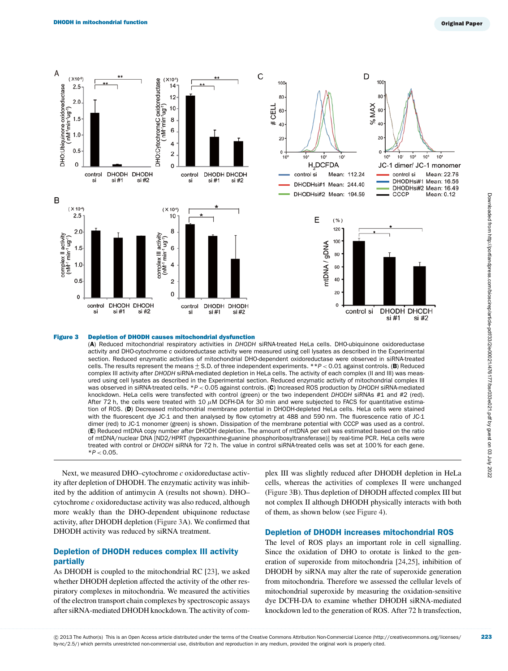<span id="page-6-0"></span>

#### Figure 3 Depletion of DHODH causes mitochondrial dysfunction

(A) Reduced mitochondrial respiratory activities in *DHODH* siRNA-treated HeLa cells. DHO-ubiquinone oxidoreductase activity and DHO-cytochrome *c* oxidoreductase activity were measured using cell lysates as described in the Experimental section. Reduced enzymatic activities of mitochondrial DHO-dependent oxidoreductase were observed in siRNA-treated cells. The results represent the means  $+$  S.D. of three independent experiments.  $*P$  < 0.01 against cont cells. The results represent the means <u>+</u> S.D. of three independent experiments. \*\*P < 0.01 against controls. (**B**) Reduced<br>complex III activity after *DHODH* siRNA-mediated depletion in HeLa cells. The activity of each c ured using cell lysates as described in the Experimental section. Reduced enzymatic activity of mitochondrial complex III was observed in siRNA-treated cells. \**P* < 0.05 against controls. (C) Increased ROS production by *DHODH* siRNA-mediated knockdown. HeLa cells were transfected with control (green) or the two independent *DHODH* siRNAs #1 and #2 (red). After 72 h, the cells were treated with 10  $\mu$ M DCFH-DA for 30 min and were subjected to FACS for quantitative estimation of ROS. (D) Decreased mitochondrial membrane potential in DHODH-depleted HeLa cells. HeLa cells were stained with the fluorescent dye JC-1 and then analysed by flow cytometry at 488 and 590 nm. The fluorescence ratio of JC-1 dimer (red) to JC-1 monomer (green) is shown. Dissipation of the membrane potential with CCCP was used as a control. (E) Reduced mtDNA copy number after DHODH depletion. The amount of mtDNA per cell was estimated based on the ratio of mtDNA/nuclear DNA [ND2/HPRT (hypoxanthine-guanine phosphoribosyltransferase)] by real-time PCR. HeLa cells were treated with control or *DHODH* siRNA for 72 h. The value in control siRNA-treated cells was set at 100 % for each gene.  $*P < 0.05$ .

Next, we measured DHO–cytochrome *c* oxidoreductase activity after depletion of DHODH. The enzymatic activity was inhibited by the addition of antimycin A (results not shown). DHO– cytochrome *c* oxidoreductase activity was also reduced, although more weakly than the DHO-dependent ubiquinone reductase activity, after DHODH depletion [\(Figure 3A](#page-6-0)). We confirmed that DHODH activity was reduced by siRNA treatment.

# Depletion of DHODH reduces complex III activity partially

As DHODH is coupled to the mitochondrial RC [\[23\]](#page-10-0), we asked whether DHODH depletion affected the activity of the other respiratory complexes in mitochondria. We measured the activities of the electron transport chain complexes by spectroscopic assays after siRNA-mediated DHODH knockdown. The activity of complex III was slightly reduced after DHODH depletion in HeLa cells, whereas the activities of complexes II were unchanged [\(Figure 3B](#page-6-0)). Thus depletion of DHODH affected complex III but not complex II although DHODH physically interacts with both of them, as shown below (see [Figure 4\)](#page-7-0).

## Depletion of DHODH increases mitochondrial ROS

The level of ROS plays an important role in cell signalling. Since the oxidation of DHO to orotate is linked to the generation of superoxide from mitochondria [\[24,](#page-10-1)[25\]](#page-10-2), inhibition of DHODH by siRNA may alter the rate of superoxide generation from mitochondria. Therefore we assessed the cellular levels of mitochondrial superoxide by measuring the oxidation-sensitive dye DCFH-DA to examine whether DHODH siRNA-mediated knockdown led to the generation of ROS. After 72 h transfection,

223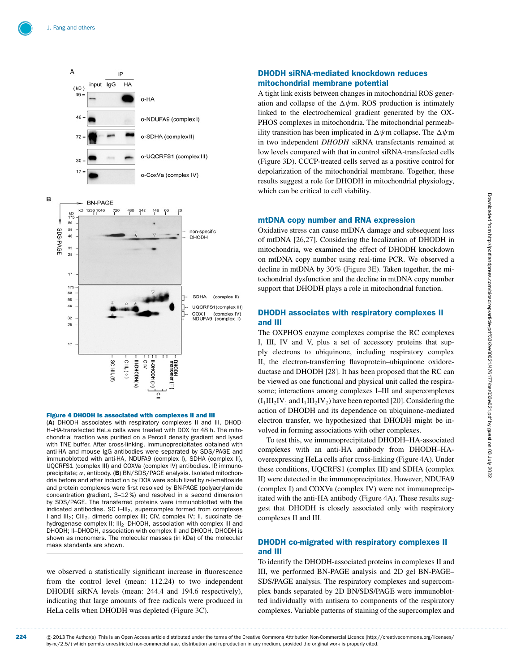<span id="page-7-0"></span>

#### Figure 4 DHODH is associated with complexes II and III

(A) DHODH associates with respiratory complexes II and III. DHOD-H–HA-transfected HeLa cells were treated with DOX for 48 h. The mitochondrial fraction was purified on a Percoll density gradient and lysed with TNE buffer. After cross-linking, immunoprecipitates obtained with anti-HA and mouse IgG antibodies were separated by SDS/PAGE and immunoblotted with anti-HA, NDUFA9 (complex I), SDHA (complex II), UQCRFS1 (complex III) and COXVa (complex IV) antibodies. IP, immunoprecipitate;  $\alpha$ , antibody. (B) BN/SDS/PAGE analysis. Isolated mitochondria before and after induction by DOX were solubilized by *n*-D-maltoside and protein complexes were first resolved by BN-PAGE (polyacrylamide concentration gradient, 3–12 %) and resolved in a second dimension by SDS/PAGE. The transferred proteins were immunoblotted with the indicated antibodies. SC  $LIII<sub>2</sub>$ , supercomplex formed from complexes I and III<sub>2</sub>; CIII<sub>2</sub>, dimeric complex III; CIV, complex IV; II, succinate dehydrogenase complex II; III<sub>2</sub>–DHODH, association with complex III and DHODH; II–DHODH, association with complex II and DHODH. DHODH is shown as monomers. The molecular masses (in kDa) of the molecular mass standards are shown.

we observed a statistically significant increase in fluorescence from the control level (mean: 112.24) to two independent DHODH siRNA levels (mean: 244.4 and 194.6 respectively), indicating that large amounts of free radicals were produced in HeLa cells when DHODH was depleted [\(Figure 3C](#page-6-0)).

# DHODH siRNA-mediated knockdown reduces mitochondrial membrane potential

A tight link exists between changes in mitochondrial ROS generation and collapse of the  $\Delta\psi$ m. ROS production is intimately linked to the electrochemical gradient generated by the OX-PHOS complexes in mitochondria. The mitochondrial permeability transition has been implicated in  $\Delta \psi$ m collapse. The  $\Delta \psi$ m in two independent *DHODH* siRNA transfectants remained at low levels compared with that in control siRNA-transfected cells [\(Figure 3D](#page-6-0)). CCCP-treated cells served as a positive control for depolarization of the mitochondrial membrane. Together, these results suggest a role for DHODH in mitochondrial physiology, which can be critical to cell viability.

### mtDNA copy number and RNA expression

Oxidative stress can cause mtDNA damage and subsequent loss of mtDNA [\[26](#page-10-3)[,27\]](#page-10-4). Considering the localization of DHODH in mitochondria, we examined the effect of DHODH knockdown on mtDNA copy number using real-time PCR. We observed a decline in mtDNA by 30% [\(Figure 3E](#page-6-0)). Taken together, the mitochondrial dysfunction and the decline in mtDNA copy number support that DHODH plays a role in mitochondrial function.

# DHODH associates with respiratory complexes II and III

The OXPHOS enzyme complexes comprise the RC complexes I, III, IV and V, plus a set of accessory proteins that supply electrons to ubiquinone, including respiratory complex II, the electron-transferring flavoprotein–ubiquinone oxidoreductase and DHODH [\[28\]](#page-10-5). It has been proposed that the RC can be viewed as one functional and physical unit called the respirasome; interactions among complexes I–III and supercomplexes  $(I_1III_2IV_1$  and  $I_1III_2IV_2$ ) have been reported [\[20\]](#page-9-19). Considering the action of DHODH and its dependence on ubiquinone-mediated electron transfer, we hypothesized that DHODH might be involved in forming associations with other complexes.

To test this, we immunoprecipitated DHODH–HA-associated complexes with an anti-HA antibody from DHODH–HAoverexpressing HeLa cells after cross-linking [\(Figure 4A](#page-7-0)). Under these conditions, UQCRFS1 (complex III) and SDHA (complex II) were detected in the immunoprecipitates. However, NDUFA9 (complex I) and COXVa (complex IV) were not immunoprecipitated with the anti-HA antibody [\(Figure 4A](#page-7-0)). These results suggest that DHODH is closely associated only with respiratory complexes II and III.

# DHODH co-migrated with respiratory complexes II and III

To identify the DHODH-associated proteins in complexes II and III, we performed BN-PAGE analysis and 2D gel BN-PAGE– SDS/PAGE analysis. The respiratory complexes and supercomplex bands separated by 2D BN/SDS/PAGE were immunoblotted individually with antisera to components of the respiratory complexes. Variable patterns of staining of the supercomplex and

 $\odot$  2013 The Author(s) This is an Open Access article distributed under the terms of the Creative Commons Attribution Non-Commercial Licence [\(http://creativecommons.org/licenses/](http://creativecommons.org/licenses/by-nc/2.5/) [by-nc/2.5/\)](http://creativecommons.org/licenses/by-nc/2.5/) which permits unrestricted non-commercial use, distribution and reproduction in any medium, provided the original work is properly cited.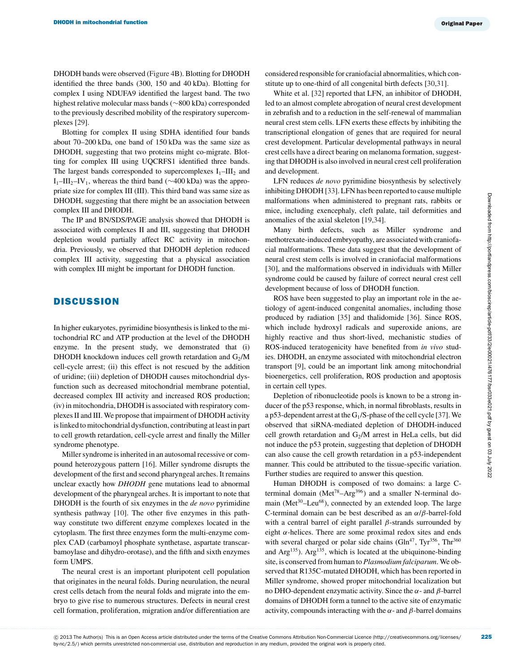DHODH bands were observed [\(Figure 4B](#page-7-0)). Blotting for DHODH identified the three bands (300, 150 and 40 kDa). Blotting for complex I using NDUFA9 identified the largest band. The two highest relative molecular mass bands (∼800 kDa) corresponded to the previously described mobility of the respiratory supercomplexes [\[29\]](#page-10-6).

Blotting for complex II using SDHA identified four bands about 70–200 kDa, one band of 150 kDa was the same size as DHODH, suggesting that two proteins might co-migrate. Blotting for complex III using UQCRFS1 identified three bands. The largest bands corresponded to supercomplexes  $I_1$ – $III_2$  and I<sub>1</sub>–III<sub>2</sub>–IV<sub>1</sub>, whereas the third band ( $\sim$ 400 kDa) was the appropriate size for complex III (III). This third band was same size as DHODH, suggesting that there might be an association between complex III and DHODH.

The IP and BN/SDS/PAGE analysis showed that DHODH is associated with complexes II and III, suggesting that DHODH depletion would partially affect RC activity in mitochondria. Previously, we observed that DHODH depletion reduced complex III activity, suggesting that a physical association with complex III might be important for DHODH function.

# **DISCUSSION**

In higher eukaryotes, pyrimidine biosynthesis is linked to the mitochondrial RC and ATP production at the level of the DHODH enzyme. In the present study, we demonstrated that (i) DHODH knockdown induces cell growth retardation and  $G_2/M$ cell-cycle arrest; (ii) this effect is not rescued by the addition of uridine; (iii) depletion of DHODH causes mitochondrial dysfunction such as decreased mitochondrial membrane potential, decreased complex III activity and increased ROS production; (iv) in mitochondria, DHODH is associated with respiratory complexes II and III. We propose that impairment of DHODH activity is linked to mitochondrial dysfunction, contributing at least in part to cell growth retardation, cell-cycle arrest and finally the Miller syndrome phenotype.

Miller syndrome is inherited in an autosomal recessive or compound heterozygous pattern [\[16\]](#page-9-15). Miller syndrome disrupts the development of the first and second pharyngeal arches. It remains unclear exactly how *DHODH* gene mutations lead to abnormal development of the pharyngeal arches. It is important to note that DHODH is the fourth of six enzymes in the *de novo* pyrimidine synthesis pathway [\[10\]](#page-9-9). The other five enzymes in this pathway constitute two different enzyme complexes located in the cytoplasm. The first three enzymes form the multi-enzyme complex CAD (carbamoyl phosphate synthetase, aspartate transcarbamoylase and dihydro-orotase), and the fifth and sixth enzymes form UMPS.

The neural crest is an important pluripotent cell population that originates in the neural folds. During neurulation, the neural crest cells detach from the neural folds and migrate into the embryo to give rise to numerous structures. Defects in neural crest cell formation, proliferation, migration and/or differentiation are

considered responsible for craniofacial abnormalities, which constitute up to one-third of all congenital birth defects [\[30,](#page-10-7)[31\]](#page-10-8).

White et al. [\[32\]](#page-10-9) reported that LFN, an inhibitor of DHODH, led to an almost complete abrogation of neural crest development in zebrafish and to a reduction in the self-renewal of mammalian neural crest stem cells. LFN exerts these effects by inhibiting the transcriptional elongation of genes that are required for neural crest development. Particular developmental pathways in neural crest cells have a direct bearing on melanoma formation, suggesting that DHODH is also involved in neural crest cell proliferation and development.

LFN reduces *de novo* pyrimidine biosynthesis by selectively inhibiting DHODH [\[33\]](#page-10-10). LFN has been reported to cause multiple malformations when administered to pregnant rats, rabbits or mice, including exencephaly, cleft palate, tail deformities and anomalies of the axial skeleton [\[19](#page-9-18)[,34\]](#page-10-11).

Many birth defects, such as Miller syndrome and methotrexate-induced embryopathy, are associated with craniofacial malformations. These data suggest that the development of neural crest stem cells is involved in craniofacial malformations [\[30\]](#page-10-7), and the malformations observed in individuals with Miller syndrome could be caused by failure of correct neural crest cell development because of loss of DHODH function.

ROS have been suggested to play an important role in the aetiology of agent-induced congenital anomalies, including those produced by radiation [\[35\]](#page-10-12) and thalidomide [\[36\]](#page-10-13). Since ROS, which include hydroxyl radicals and superoxide anions, are highly reactive and thus short-lived, mechanistic studies of ROS-induced teratogenicity have benefited from *in vivo* studies. DHODH, an enzyme associated with mitochondrial electron transport [\[9\]](#page-9-8), could be an important link among mitochondrial bioenergetics, cell proliferation, ROS production and apoptosis in certain cell types.

Depletion of ribonucleotide pools is known to be a strong inducer of the p53 response, which, in normal fibroblasts, results in a p53-dependent arrest at the  $G_1/S$ -phase of the cell cycle [\[37\]](#page-10-14). We observed that siRNA-mediated depletion of DHODH-induced cell growth retardation and  $G_2/M$  arrest in HeLa cells, but did not induce the p53 protein, suggesting that depletion of DHODH can also cause the cell growth retardation in a p53-independent manner. This could be attributed to the tissue-specific variation. Further studies are required to answer this question.

Human DHODH is composed of two domains: a large Cterminal domain (Met<sup>78</sup>-Arg<sup>396</sup>) and a smaller N-terminal domain ( $Met^{30}$ -Leu<sup>68</sup>), connected by an extended loop. The large C-terminal domain can be best described as an  $\alpha/\beta$ -barrel-fold with a central barrel of eight parallel  $\beta$ -strands surrounded by eight  $\alpha$ -helices. There are some proximal redox sites and ends with several charged or polar side chains  $(Gln<sup>47</sup>, Tyr<sup>356</sup>, Thr<sup>360</sup>)$ and  $Arg<sup>135</sup>$ ). Arg<sup>135</sup>, which is located at the ubiquinone-binding site, is conserved from human to *Plasmodium falciparum*. We observed that R135C-mutated DHODH, which has been reported in Miller syndrome, showed proper mitochondrial localization but no DHO-dependent enzymatic activity. Since the α- and β-barrel domains of DHODH form a tunnel to the active site of enzymatic activity, compounds interacting with the  $\alpha$ - and  $\beta$ -barrel domains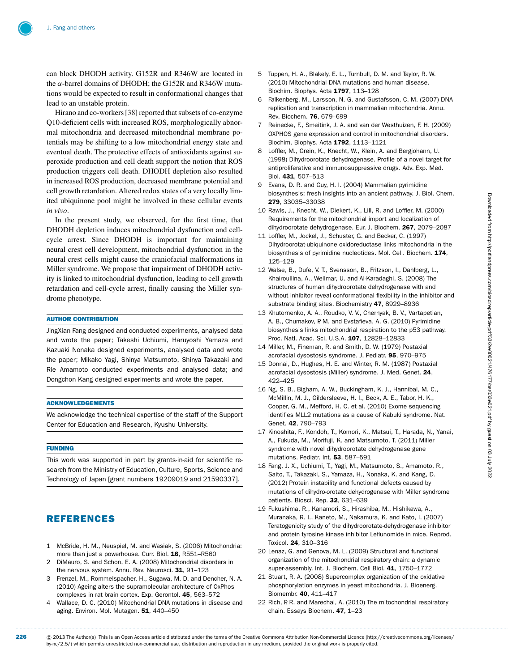can block DHODH activity. G152R and R346W are located in the  $\alpha$ -barrel domains of DHODH; the G152R and R346W mutations would be expected to result in conformational changes that lead to an unstable protein.

Hirano and co-workers [\[38\]](#page-10-15) reported that subsets of co-enzyme Q10-deficient cells with increased ROS, morphologically abnormal mitochondria and decreased mitochondrial membrane potentials may be shifting to a low mitochondrial energy state and eventual death. The protective effects of antioxidants against superoxide production and cell death support the notion that ROS production triggers cell death. DHODH depletion also resulted in increased ROS production, decreased membrane potential and cell growth retardation. Altered redox states of a very locally limited ubiquinone pool might be involved in these cellular events *in vivo*.

In the present study, we observed, for the first time, that DHODH depletion induces mitochondrial dysfunction and cellcycle arrest. Since DHODH is important for maintaining neural crest cell development, mitochondrial dysfunction in the neural crest cells might cause the craniofacial malformations in Miller syndrome. We propose that impairment of DHODH activity is linked to mitochondrial dysfunction, leading to cell growth retardation and cell-cycle arrest, finally causing the Miller syndrome phenotype.

#### AUTHOR CONTRIBUTION

JingXian Fang designed and conducted experiments, analysed data and wrote the paper; Takeshi Uchiumi, Haruyoshi Yamaza and Kazuaki Nonaka designed experiments, analysed data and wrote the paper; Mikako Yagi, Shinya Matsumoto, Shinya Takazaki and Rie Amamoto conducted experiments and analysed data; and Dongchon Kang designed experiments and wrote the paper.

#### ACKNOWLEDGEMENTS

We acknowledge the technical expertise of the staff of the Support Center for Education and Research, Kyushu University.

#### FUNDING

This work was supported in part by grants-in-aid for scientific research from the Ministry of Education, Culture, Sports, Science and Technology of Japan [grant numbers 19209019 and 21590337].

# REFERENCES

- <span id="page-9-0"></span>1 McBride, H. M., Neuspiel, M. and Wasiak, S. (2006) Mitochondria: more than just a powerhouse. Curr. Biol. 16, R551-R560
- <span id="page-9-1"></span>2 DiMauro, S. and Schon, E. A. (2008) Mitochondrial disorders in the nervous system. Annu. Rev. Neurosci. 31, 91-123
- <span id="page-9-2"></span>3 Frenzel, M., Rommelspacher, H., Sugawa, M. D. and Dencher, N. A. (2010) Ageing alters the supramolecular architecture of OxPhos complexes in rat brain cortex. Exp. Gerontol. 45, 563–572
- <span id="page-9-3"></span>4 Wallace, D. C. (2010) Mitochondrial DNA mutations in disease and aging. Environ. Mol. Mutagen. 51, 440-450
- <span id="page-9-4"></span>5 Tuppen, H. A., Blakely, E. L., Turnbull, D. M. and Taylor, R. W. (2010) Mitochondrial DNA mutations and human disease. Biochim. Biophys. Acta 1797, 113–128
- <span id="page-9-5"></span>6 Falkenberg, M., Larsson, N. G. and Gustafsson, C. M. (2007) DNA replication and transcription in mammalian mitochondria. Annu. Rev. Biochem. 76, 679–699
- <span id="page-9-6"></span>7 Reinecke, F., Smeitink, J. A. and van der Westhuizen, F. H. (2009) OXPHOS gene expression and control in mitochondrial disorders. Biochim. Biophys. Acta 1792, 1113–1121
- <span id="page-9-7"></span>8 Loffler, M., Grein, K., Knecht, W., Klein, A. and Bergjohann, U. (1998) Dihydroorotate dehydrogenase. Profile of a novel target for antiproliferative and immunosuppressive drugs. Adv. Exp. Med. Biol. 431, 507–513
- <span id="page-9-8"></span>9 Evans, D. R. and Guy, H. I. (2004) Mammalian pyrimidine biosynthesis: fresh insights into an ancient pathway. J. Biol. Chem. 279, 33035–33038
- <span id="page-9-9"></span>10 Rawls, J., Knecht, W., Diekert, K., Lill, R. and Loffler, M. (2000) Requirements for the mitochondrial import and localization of dihydroorotate dehydrogenase. Eur. J. Biochem. 267, 2079–2087
- <span id="page-9-10"></span>11 Loffler, M., Jockel, J., Schuster, G. and Becker, C. (1997) Dihydroorotat-ubiquinone oxidoreductase links mitochondria in the biosynthesis of pyrimidine nucleotides. Mol. Cell. Biochem. 174, 125–129
- <span id="page-9-11"></span>12 Walse, B., Dufe, V. T., Svensson, B., Fritzson, I., Dahlberg, L., Khairoullina, A., Wellmar, U. and Al-Karadaghi, S. (2008) The structures of human dihydroorotate dehydrogenase with and without inhibitor reveal conformational flexibility in the inhibitor and substrate binding sites. Biochemistry 47, 8929–8936
- <span id="page-9-12"></span>13 Khutornenko, A. A., Roudko, V. V., Chernyak, B. V., Vartapetian, A. B., Chumakov, P. M. and Evstafieva, A. G. (2010) Pyrimidine biosynthesis links mitochondrial respiration to the p53 pathway. Proc. Natl. Acad. Sci. U.S.A. 107, 12828–12833
- <span id="page-9-13"></span>14 Miller, M., Fineman, R. and Smith, D. W. (1979) Postaxial acrofacial dysostosis syndrome. J. Pediatr. 95, 970–975
- <span id="page-9-14"></span>15 Donnai, D., Hughes, H. E. and Winter, R. M. (1987) Postaxial acrofacial dysostosis (Miller) syndrome. J. Med. Genet. 24, 422–425
- <span id="page-9-15"></span>16 Ng, S. B., Bigham, A. W., Buckingham, K. J., Hannibal, M. C., McMillin, M. J., Gildersleeve, H. I., Beck, A. E., Tabor, H. K., Cooper, G. M., Mefford, H. C. et al. (2010) Exome sequencing identifies MLL2 mutations as a cause of Kabuki syndrome. Nat. Genet. 42, 790–793
- <span id="page-9-16"></span>17 Kinoshita, F., Kondoh, T., Komori, K., Matsui, T., Harada, N., Yanai, A., Fukuda, M., Morifuji, K. and Matsumoto, T. (2011) Miller syndrome with novel dihydroorotate dehydrogenase gene mutations. Pediatr. Int. 53, 587–591
- <span id="page-9-17"></span>18 Fang, J. X., Uchiumi, T., Yagi, M., Matsumoto, S., Amamoto, R., Saito, T., Takazaki, S., Yamaza, H., Nonaka, K. and Kang, D. (2012) Protein instability and functional defects caused by mutations of dihydro-orotate dehydrogenase with Miller syndrome patients. Biosci. Rep. 32, 631–639
- <span id="page-9-18"></span>19 Fukushima, R., Kanamori, S., Hirashiba, M., Hishikawa, A., Muranaka, R. I., Kaneto, M., Nakamura, K. and Kato, I. (2007) Teratogenicity study of the dihydroorotate-dehydrogenase inhibitor and protein tyrosine kinase inhibitor Leflunomide in mice. Reprod. Toxicol. 24, 310–316
- <span id="page-9-19"></span>20 Lenaz, G. and Genova, M. L. (2009) Structural and functional organization of the mitochondrial respiratory chain: a dynamic super-assembly. Int. J. Biochem. Cell Biol. 41, 1750-1772
- <span id="page-9-20"></span>21 Stuart, R. A. (2008) Supercomplex organization of the oxidative phosphorylation enzymes in yeast mitochondria. J. Bioenerg. Biomembr. 40, 411–417
- <span id="page-9-21"></span>22 Rich, P. R. and Marechal, A. (2010) The mitochondrial respiratory chain. Essays Biochem. 47, 1–23